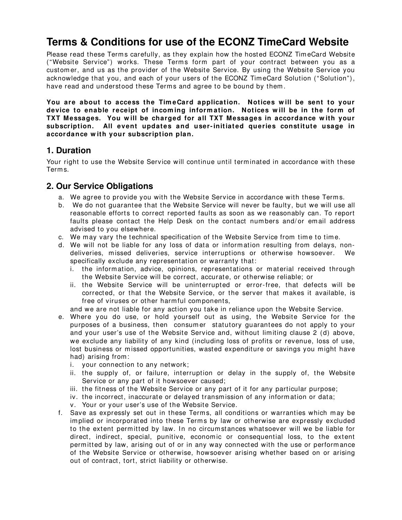# **Terms & Conditions for use of the ECONZ TimeCard Website**

Please read these Terms carefully, as they explain how the hosted ECONZ TimeCard Website ("Website Service") works. These Term s form part of your contract between you as a custom er, and us as the provider of the Website Service. By using the Website Service you acknowledge that you, and each of your users of the ECONZ Tim eCard Solution ("Solution"), have read and understood these Terms and agree to be bound by them.

**You are about to access the Tim eCard application. Notices w ill be sent to your device to enable receipt of incom ing inform ation. Notices w ill be in the form of TXT Messages. You w ill be charged for all TXT Messages in accordance w ith your subscription. All event updates and user-initiated queries constitute usage in accordance w ith your subscription plan.**

# **1. Duration**

Your right to use the Website Service will continue until term inated in accordance with these Term s.

# **2. Our Service Obligations**

- a. We agree to provide you with the Website Service in accordance with these Term s.
- b. We do not guarantee that the Website Service will never be faulty, but we will use all reasonable efforts to correct reported faults as soon as we reasonably can. To report faults please contact the Help Desk on the contact numbers and/or email address advised to you elsewhere.
- c. We may vary the technical specification of the Website Service from time to time.
- d. We will not be liable for any loss of data or information resulting from delays, nondeliveries, m issed deliveries, service interruptions or otherwise howsoever. We specifically exclude any representation or warranty that:
	- i. the inform ation, advice, opinions, representations or m aterial received through the Website Service will be correct, accurate, or otherwise reliable; or
	- ii. the Website Service will be uninterrupted or error-free, that defects will be corrected, or that the Website Service, or the server that m akes it available, is free of viruses or other harm ful com ponents,

and we are not liable for any action you take in reliance upon the Website Service.

- e. Where you do use, or hold yourself out as using, the Website Service for the purposes of a business, then consum er statutory guarantees do not apply to your and your user's use of the Website Service and, without limiting clause 2 (d) above, we exclude any liability of any kind (including loss of profits or revenue, loss of use, lost business or missed opportunities, wasted expenditure or savings you might have had) arising from :
	- i. your connection to any network;
	- ii. the supply of, or failure, interruption or delay in the supply of, the Website Service or any part of it howsoever caused;
	- iii. the fitness of the Website Service or any part of it for any particular purpose;
	- iv. the incorrect, inaccurate or delayed transm ission of any inform ation or data;
	- v. Your or your user's use of the Website Service.
- f. Save as expressly set out in these Term s, all conditions or warranties which m ay be im plied or incorporated into these Term s by law or otherwise are expressly excluded to the extent perm itted by law. In no circum stances whatsoever will we be liable for direct, indirect, special, punitive, econom ic or consequential loss, to the extent perm itted by law, arising out of or in any way connected with the use or perform ance of the Website Service or otherwise, howsoever arising whether based on or arising out of contract, tort, strict liability or otherwise.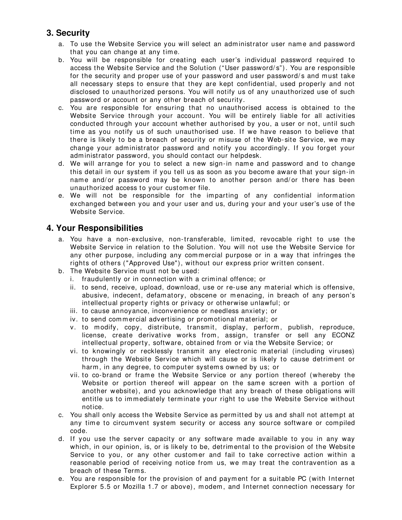# **3. Security**

- a. To use the Website Service you will select an administrator user name and password that you can change at any tim e.
- b. You will be responsible for creating each user's individual password required to access the Website Service and the Solution ("User password/ s"). You are responsible for the security and proper use of your password and user password/s and must take all necessary steps to ensure that they are kept confidential, used properly and not disclosed to unauthorized persons. You will notify us of any unauthorized use of such password or account or any other breach of security.
- c. You are responsible for ensuring that no unauthorised access is obtained to the Website Service through your account. You will be entirely liable for all activities conducted through your account whether authorised by you, a user or not, until such time as you notify us of such unauthorised use. If we have reason to believe that there is likely to be a breach of security or m isuse of the Web-site Service, we m ay change your administrator password and notify you accordingly. If you forget your adm inistrator password, you should contact our helpdesk.
- d. We will arrange for you to select a new sign-in name and password and to change this detail in our system if you tell us as soon as you becom e aware that your sign-in name and/or password may be known to another person and/or there has been unauthorized access to your custom er file.
- e. We will not be responsible for the im parting of any confidential inform ation exchanged between you and your user and us, during your and your user's use of the Website Service.

#### **4. Your Responsibilities**

- a. You have a non-exclusive, non-transferable, limited, revocable right to use the Website Service in relation to the Solution. You will not use the Website Service for any other purpose, including any commercial purpose or in a way that infringes the rights of others ("Approved Use"), without our express prior written consent.
- b. The Website Service must not be used:
	- i. fraudulently or in connection with a crim inal offence; or
	- ii. to send, receive, upload, download, use or re-use any m aterial which is offensive, abusive, indecent, defam atory, obscene or m enacing, in breach of any person's intellectual property rights or privacy or otherwise unlawful; or
	- iii. to cause annoyance, inconvenience or needless anxiety; or
	- iv. to send commercial advertising or promotional material; or
	- v. to modify, copy, distribute, transmit, display, perform, publish, reproduce, license, create derivative works from, assign, transfer or sell any ECONZ intellectual property, software, obtained from or via the Website Service; or
	- vi. to knowingly or recklessly transmit any electronic material (including viruses) through the Website Service which will cause or is likely to cause detrim ent or harm, in any degree, to computer systems owned by us; or
	- vii. to co-brand or frame the Website Service or any portion thereof (whereby the Website or portion thereof will appear on the same screen with a portion of another website), and you acknowledge that any breach of these obligations will entitle us to immediately terminate your right to use the Website Service without notice.
- c. You shall only access the Website Service as perm itted by us and shall not attem pt at any time to circumvent system security or access any source software or compiled code.
- d. If you use the server capacity or any software m ade available to you in any way which, in our opinion, is, or is likely to be, detrimental to the provision of the Website Service to you, or any other customer and fail to take corrective action within a reasonable period of receiving notice from us, we may treat the contravention as a breach of these Term s.
- e. You are responsible for the provision of and paym ent for a suitable PC (with Internet Explorer 5.5 or Mozilla 1.7 or above), m odem , and Internet connection necessary for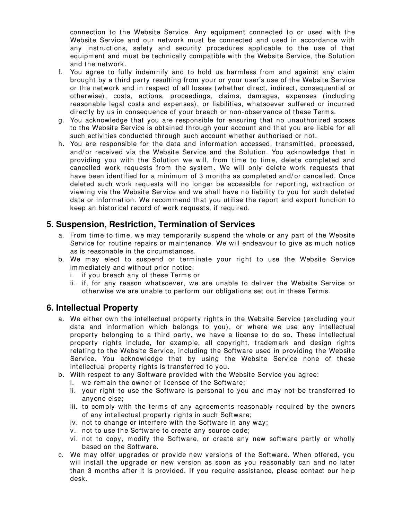connection to the Website Service. Any equipm ent connected to or used with the Website Service and our network must be connected and used in accordance with any instructions, safety and security procedures applicable to the use of that equipm ent and must be technically compatible with the Website Service, the Solution and the network.

- f. You agree to fully indem nify and to hold us harm less from and against any claim brought by a third party resulting from your or your user's use of the Website Service or the network and in respect of all losses (whether direct, indirect, consequential or otherwise), costs, actions, proceedings, claims, damages, expenses (including reasonable legal costs and expenses), or liabilities, whatsoever suffered or incurred directly by us in consequence of your breach or non-observance of these Terms.
- g. You acknowledge that you are responsible for ensuring that no unauthorized access to the Website Service is obtained through your account and that you are liable for all such activities conducted through such account whether authorised or not.
- h. You are responsible for the data and information accessed, transmitted, processed, and/ or received via the Website Service and the Solution. You acknowledge that in providing you with the Solution we will, from time to time, delete completed and cancelled work requests from the system. We will only delete work requests that have been identified for a minimum of 3 months as completed and/or cancelled. Once deleted such work requests will no longer be accessible for reporting, extraction or viewing via the Website Service and we shall have no liability to you for such deleted data or information. We recommend that you utilise the report and export function to keep an historical record of work requests, if required.

# **5. Suspension, Restriction, Termination of Services**

- a. From time to time, we may temporarily suspend the whole or any part of the Website Service for routine repairs or maintenance. We will endeavour to give as much notice as is reasonable in the circum stances.
- b. We m ay elect to suspend or term inate your right to use the Website Service immediately and without prior notice:
	- i. if you breach any of these Terms or
	- ii. if, for any reason what soever, we are unable to deliver the Website Service or otherwise we are unable to perform our obligations set out in these Term s.

# **6. Intellectual Property**

- a. We either own the intellectual property rights in the Website Service (excluding your data and inform ation which belongs to you), or where we use any intellectual property belonging to a third party, we have a license to do so. These intellectual property rights include, for exam ple, all copyright, tradem ark and design rights relating to the Website Service, including the Software used in providing the Website Service. You acknowledge that by using the Website Service none of these intellectual property rights is transferred to you.
- b. With respect to any Software provided with the Website Service you agree:
	- i. we rem ain the owner or licensee of the Software;
	- ii. your right to use the Software is personal to you and m ay not be transferred to anyone else;
	- iii. to comply with the terms of any agreements reasonably required by the owners of any intellectual property rights in such Software;
	- iv. not to change or interfere with the Software in any way;
	- v. not to use the Software to create any source code;
	- vi. not to copy, m odify the Software, or create any new software partly or wholly based on the Software.
- c. We m ay offer upgrades or provide new versions of the Software. When offered, you will install the upgrade or new version as soon as you reasonably can and no later than 3 m onths after it is provided. If you require assistance, please contact our help desk.